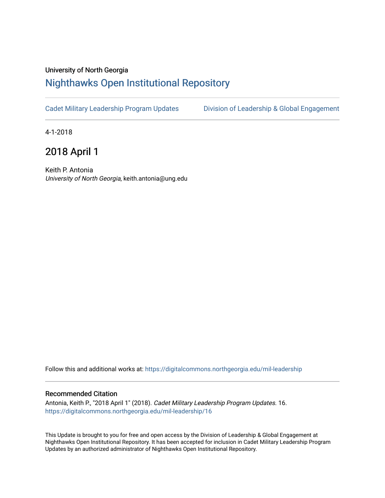## University of North Georgia

## [Nighthawks Open Institutional Repository](https://digitalcommons.northgeorgia.edu/)

[Cadet Military Leadership Program Updates](https://digitalcommons.northgeorgia.edu/mil-leadership) [Division of Leadership & Global Engagement](https://digitalcommons.northgeorgia.edu/leadership) 

4-1-2018

2018 April 1

Keith P. Antonia University of North Georgia, keith.antonia@ung.edu

Follow this and additional works at: [https://digitalcommons.northgeorgia.edu/mil-leadership](https://digitalcommons.northgeorgia.edu/mil-leadership?utm_source=digitalcommons.northgeorgia.edu%2Fmil-leadership%2F16&utm_medium=PDF&utm_campaign=PDFCoverPages) 

## Recommended Citation

Antonia, Keith P., "2018 April 1" (2018). Cadet Military Leadership Program Updates. 16. [https://digitalcommons.northgeorgia.edu/mil-leadership/16](https://digitalcommons.northgeorgia.edu/mil-leadership/16?utm_source=digitalcommons.northgeorgia.edu%2Fmil-leadership%2F16&utm_medium=PDF&utm_campaign=PDFCoverPages)

This Update is brought to you for free and open access by the Division of Leadership & Global Engagement at Nighthawks Open Institutional Repository. It has been accepted for inclusion in Cadet Military Leadership Program Updates by an authorized administrator of Nighthawks Open Institutional Repository.